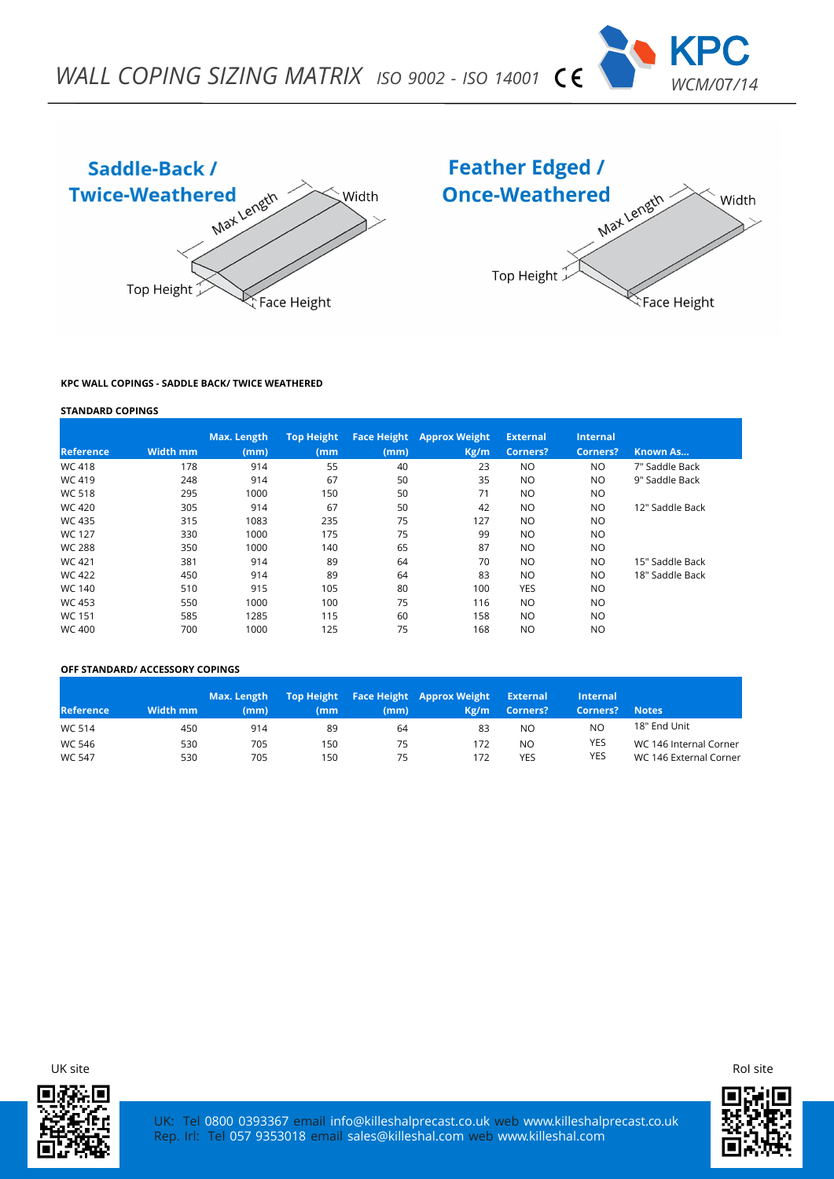





### **KPC WALL COPINGS - SADDLE BACK/ TWICE WEATHERED**

#### **STANDARD COPINGS**

|                  |                 | Max. Length | <b>Top Height</b> |      | <b>Face Height Approx Weight</b> | <b>External</b> | <b>Internal</b> |                 |
|------------------|-----------------|-------------|-------------------|------|----------------------------------|-----------------|-----------------|-----------------|
| <b>Reference</b> | <b>Width mm</b> | (mm)        | (mm               | (mm) | Kg/m                             | Corners?        | <b>Corners?</b> | Known As        |
| <b>WC 418</b>    | 178             | 914         | 55                | 40   | 23                               | NO.             | NO.             | 7" Saddle Back  |
| WC 419           | 248             | 914         | 67                | 50   | 35                               | <b>NO</b>       | NO.             | 9" Saddle Back  |
| <b>WC 518</b>    | 295             | 1000        | 150               | 50   | 71                               | <b>NO</b>       | <b>NO</b>       |                 |
| <b>WC 420</b>    | 305             | 914         | 67                | 50   | 42                               | <b>NO</b>       | NO.             | 12" Saddle Back |
| <b>WC 435</b>    | 315             | 1083        | 235               | 75   | 127                              | <b>NO</b>       | <b>NO</b>       |                 |
| <b>WC 127</b>    | 330             | 1000        | 175               | 75   | 99                               | <b>NO</b>       | NO.             |                 |
| <b>WC 288</b>    | 350             | 1000        | 140               | 65   | 87                               | <b>NO</b>       | NO.             |                 |
| WC 421           | 381             | 914         | 89                | 64   | 70                               | <b>NO</b>       | NO.             | 15" Saddle Back |
| <b>WC 422</b>    | 450             | 914         | 89                | 64   | 83                               | <b>NO</b>       | NO.             | 18" Saddle Back |
| WC 140           | 510             | 915         | 105               | 80   | 100                              | YES             | NO.             |                 |
| <b>WC 453</b>    | 550             | 1000        | 100               | 75   | 116                              | <b>NO</b>       | NO.             |                 |
| <b>WC 151</b>    | 585             | 1285        | 115               | 60   | 158                              | <b>NO</b>       | NO.             |                 |
| <b>WC 400</b>    | 700             | 1000        | 125               | 75   | 168                              | <b>NO</b>       | NO.             |                 |

## **OFF STANDARD/ ACCESSORY COPINGS**

| <b>Reference</b> | Width mm | Max. Length<br>(mm) | (mm | (mm) | Top Height Face Height Approx Weight<br>Kg/m | <b>External</b><br>Corners? | Internal<br>Corners? | <b>Notes</b>           |
|------------------|----------|---------------------|-----|------|----------------------------------------------|-----------------------------|----------------------|------------------------|
| WC 514           | 450      | 914                 | 89  | 64   | 83                                           | NO                          | NO                   | 18" End Unit           |
| WC 546           | 530      | 705                 | 150 | 75   | 172                                          | N <sub>O</sub>              | <b>YES</b>           | WC 146 Internal Corner |
| <b>WC 547</b>    | 530      | 705                 | 150 | 75   | 172                                          | YES                         | <b>YES</b>           | WC 146 External Corner |